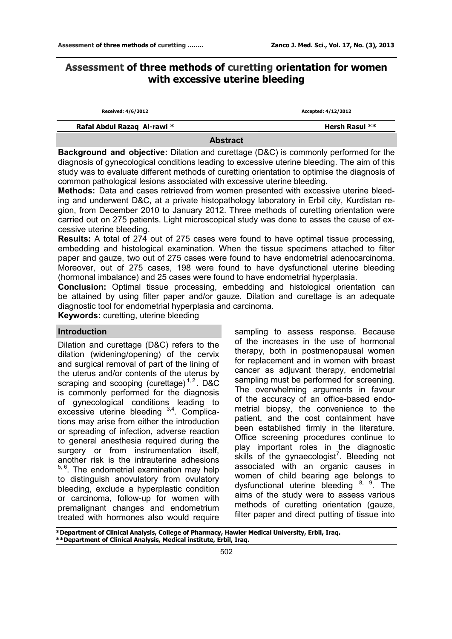# **Assessment of three methods of curetting orientation for women with excessive uterine bleeding**

| Received: 4/6/2012          | Accepted: 4/12/2012 |
|-----------------------------|---------------------|
| Rafal Abdul Razaq Al-rawi * | Hersh Rasul **      |

### **Abstract**

**Background and objective:** Dilation and curettage (D&C) is commonly performed for the diagnosis of gynecological conditions leading to excessive uterine bleeding. The aim of this study was to evaluate different methods of curetting orientation to optimise the diagnosis of common pathological lesions associated with excessive uterine bleeding.

**Methods:** Data and cases retrieved from women presented with excessive uterine bleeding and underwent D&C, at a private histopathology laboratory in Erbil city, Kurdistan region, from December 2010 to January 2012. Three methods of curetting orientation were carried out on 275 patients. Light microscopical study was done to asses the cause of excessive uterine bleeding.

**Results:** A total of 274 out of 275 cases were found to have optimal tissue processing, embedding and histological examination. When the tissue specimens attached to filter paper and gauze, two out of 275 cases were found to have endometrial adenocarcinoma. Moreover, out of 275 cases, 198 were found to have dysfunctional uterine bleeding (hormonal imbalance) and 25 cases were found to have endometrial hyperplasia.

**Conclusion:** Optimal tissue processing, embedding and histological orientation can be attained by using filter paper and/or gauze. Dilation and curettage is an adequate diagnostic tool for endometrial hyperplasia and carcinoma.

**Keywords:** curetting, uterine bleeding

# **Introduction**

Dilation and curettage (D&C) refers to the [dilation](http://en.wikipedia.org/wiki/Cervical_dilation) (widening/opening) of the [cervix](http://en.wikipedia.org/wiki/Cervix)  and surgical removal of part of the lining of the [uterus](http://en.wikipedia.org/wiki/Uterus) and/or contents of the uterus by scraping and scooping ([curettage\)](http://en.wikipedia.org/wiki/Curettage)<sup>1,2</sup>. D&C is commonly performed for the diagnosis of gynecological conditions leading to excessive uterine bleeding <sup>[3,4](http://en.wikipedia.org/wiki/Dilation_and_curettage#cite_note-3#cite_note-3)</sup>[.](http://en.wikipedia.org/wiki/Dilation_and_curettage#cite_note-4#cite_note-4) Complications may arise from either the introduction or spreading of infection, adverse reaction to general anesthesia required during the surgery or from instrumentation itself, another risk is the intrauterine adhesions <sup>5, 6</sup>. The endometrial examination may help to distinguish anovulatory from ovulatory bleeding, exclude a hyperplastic condition or carcinoma, follow-up for women with premalignant changes and endometrium treated with hormones also would require

sampling to assess response. Because of the increases in the use of hormonal therapy, both in postmenopausal women for replacement and in women with breast cancer as adjuvant therapy, endometrial sampling must be performed for screening. The overwhelming arguments in favour of the accuracy of an office-based endometrial biopsy, the convenience to the patient, and the cost containment have been established firmly in the literature. Office screening procedures continue to play important roles in the diagnostic skills of the gynaecologist<sup>7</sup>[.](http://en.wikipedia.org/wiki/Dilation_and_curettage#cite_note-Schenker-9#cite_note-Schenker-9) Bleeding not associated with an organic causes in women of child bearing age belongs to dysfunctional uterine bleeding [8](http://en.wikipedia.org/wiki/Dilation_and_curettage#cite_note-Schenker-9#cite_note-Schenker-9), 9[.](http://en.wikipedia.org/wiki/Dilation_and_curettage#cite_note-Schenker-9#cite_note-Schenker-9) The aims of the study were to assess various methods of curetting orientation (gauze, filter paper and direct putting of tissue into

**\*Department of Clinical Analysis, College of Pharmacy, Hawler Medical University, Erbil, Iraq. \*\*Department of Clinical Analysis, Medical institute, Erbil, Iraq.**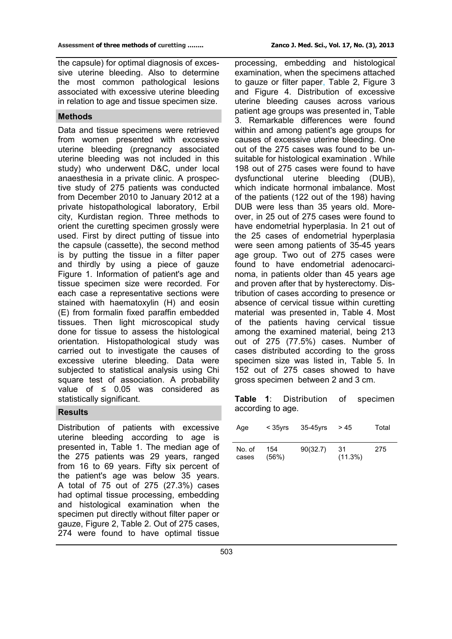the capsule) for optimal diagnosis of excessive uterine bleeding. Also to determine the most common pathological lesions associated with excessive uterine bleeding in relation to age and tissue specimen size.

### **Methods**

Data and tissue specimens were retrieved from women presented with excessive uterine bleeding (pregnancy associated uterine bleeding was not included in this study) who underwent D&C, under local anaesthesia in a private clinic. A prospective study of 275 patients was conducted from December 2010 to January 2012 at a private histopathological laboratory, Erbil city, Kurdistan region. Three methods to orient the curetting specimen grossly were used. First by direct putting of tissue into the capsule (cassette), the second method is by putting the tissue in a filter paper and thirdly by using a piece of gauze Figure 1. Information of patient's age and tissue specimen size were recorded. For each case a representative sections were stained with haematoxylin (H) and eosin (E) from formalin fixed paraffin embedded tissues. Then light microscopical study done for tissue to assess the histological orientation. Histopathological study was carried out to investigate the causes of excessive uterine bleeding. Data were subjected to statistical analysis using Chi square test of association. A probability value of  $\leq$  0.05 was considered as statistically significant.

### **Results**

Distribution of patients with excessive uterine bleeding according to age is presented in, Table 1. The median age of the 275 patients was 29 years, ranged from 16 to 69 years. Fifty six percent of the patient's age was below 35 years. A total of 75 out of 275 (27.3%) cases had optimal tissue processing, embedding and histological examination when the specimen put directly without filter paper or gauze, Figure 2, Table 2. Out of 275 cases, 274 were found to have optimal tissue

processing, embedding and histological examination, when the specimens attached to gauze or filter paper, Table 2, Figure 3 and Figure 4. Distribution of excessive uterine bleeding causes across various patient age groups was presented in, Table 3. Remarkable differences were found within and among patient's age groups for causes of excessive uterine bleeding. One out of the 275 cases was found to be unsuitable for histological examination . While 198 out of 275 cases were found to have dysfunctional uterine bleeding (DUB), which indicate hormonal imbalance. Most of the patients (122 out of the 198) having DUB were less than 35 years old. Moreover, in 25 out of 275 cases were found to have endometrial hyperplasia. In 21 out of the 25 cases of endometrial hyperplasia were seen among patients of 35-45 years age group. Two out of 275 cases were found to have endometrial adenocarcinoma, in patients older than 45 years age and proven after that by hysterectomy. Distribution of cases according to presence or absence of cervical tissue within curetting material was presented in, Table 4. Most of the patients having cervical tissue among the examined material, being 213 out of 275 (77.5%) cases. Number of cases distributed according to the gross specimen size was listed in, Table 5. In 152 out of 275 cases showed to have gross specimen between 2 and 3 cm.

**Table 1**: Distribution of specimen according to age.

| Age             | $<$ 35 $yrs$ | 35-45vrs | > 45              | Total |
|-----------------|--------------|----------|-------------------|-------|
| No. of<br>cases | 154<br>(56%) | 90(32.7) | -31<br>$(11.3\%)$ | 275   |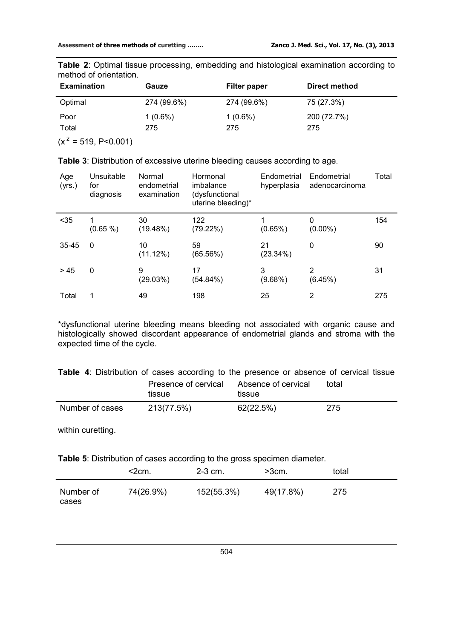**Table 2**: Optimal tissue processing, embedding and histological examination according to method of orientation.

| <b>Examination</b> | Gauze       | Filter paper | Direct method |
|--------------------|-------------|--------------|---------------|
| Optimal            | 274 (99.6%) | 274 (99.6%)  | 75 (27.3%)    |
| Poor               | $1(0.6\%)$  | $1(0.6\%)$   | 200 (72.7%)   |
| Total              | 275         | 275          | 275           |

 $(x^2 = 519, P < 0.001)$ 

| Age<br>(yrs.) | Unsuitable<br>for<br>diagnosis | Normal<br>endometrial<br>examination | Hormonal<br>imbalance<br>(dysfunctional<br>uterine bleeding)* | Endometrial<br>hyperplasia | Endometrial<br>adenocarcinoma | Total |
|---------------|--------------------------------|--------------------------------------|---------------------------------------------------------------|----------------------------|-------------------------------|-------|
| $35$          | (0.65 %)                       | 30<br>(19.48%)                       | 122<br>(79.22%)                                               | $(0.65\%)$                 | 0<br>$(0.00\%)$               | 154   |
| $35 - 45$     | $\Omega$                       | 10<br>(11.12%)                       | 59<br>(65.56%)                                                | 21<br>(23.34%)             | 0                             | 90    |
| > 45          | 0                              | 9<br>(29.03%)                        | 17<br>(54.84%)                                                | 3<br>$(9.68\%)$            | 2<br>(6.45%)                  | 31    |
| Total         |                                | 49                                   | 198                                                           | 25                         | 2                             | 275   |

**Table 3**: Distribution of excessive uterine bleeding causes according to age.

\*dysfunctional uterine bleeding means bleeding not associated with organic cause and histologically showed discordant appearance of endometrial glands and stroma with the expected time of the cycle.

**Table 4**: Distribution of cases according to the presence or absence of cervical tissue Presence of cervical Absence of cervical total

|                 | tissue     | tissue    |     |
|-----------------|------------|-----------|-----|
| Number of cases | 213(77.5%) | 62(22.5%) | 275 |

within curetting.

**Table 5**: Distribution of cases according to the gross specimen diameter.

|                    | $<$ 2cm.  | $2-3$ cm.  | $>3cm$ .  | total |
|--------------------|-----------|------------|-----------|-------|
| Number of<br>cases | 74(26.9%) | 152(55.3%) | 49(17.8%) | 275   |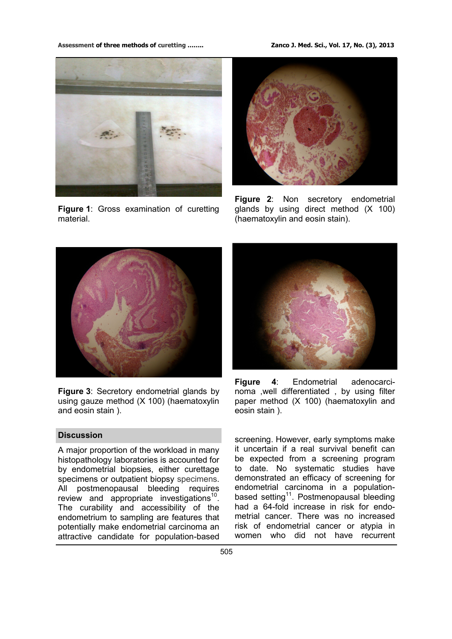#### **Assessment of three methods of curetting …….. Zanco J. Med. Sci., Vol. 17, No. (3), 2013**



**Figure 1**: Gross examination of curetting material.



**Figure 2**: Non secretory endometrial glands by using direct method (X 100) (haematoxylin and eosin stain).



**Figure 3**: Secretory endometrial glands by using gauze method (X 100) (haematoxylin and eosin stain ).

# **Discussion**

A major proportion of the workload in many histopathology laboratories is accounted for by endometrial biopsies, either curettage specimens or outpatient biopsy specimens. All postmenopausal bleeding requires review and appropriate investigations<sup>[10](http://en.wikipedia.org/wiki/Dilation_and_curettage#cite_note-Schenker-9#cite_note-Schenker-9)</sup>. The curability and accessibility of the endometrium to sampling are features that potentially make endometrial carcinoma an attractive candidate for population-based



**Figure 4**: Endometrial adenocarcinoma ,well differentiated , by using filter paper method (X 100) (haematoxylin and eosin stain ).

screening. However, early symptoms make it uncertain if a real survival benefit can be expected from a screening program to date. No systematic studies have demonstrated an efficacy of screening for endometrial carcinoma in a population-based setting<sup>[11](http://en.wikipedia.org/wiki/Dilation_and_curettage#cite_note-Schenker-9#cite_note-Schenker-9)</sup>. Postmenopausal bleeding had a 64-fold increase in risk for endometrial cancer. There was no increased risk of endometrial cancer or atypia in women who did not have recurrent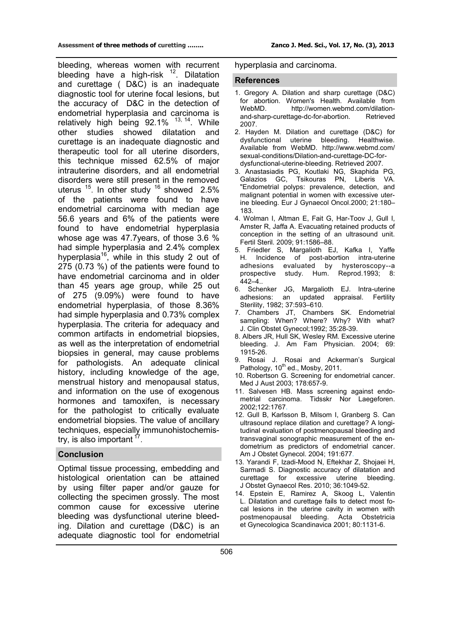bleeding, whereas women with recurrent bleeding have a high-risk  $12$ . Dilatation and curettage ( D&C) is an inadequate diagnostic tool for uterine focal lesions, but the accuracy of D&C in the detection of endometrial hyperplasia and carcinoma is relatively high being 92.1% <sup>[13](http://en.wikipedia.org/wiki/Dilation_and_curettage#cite_note-Schenker-9#cite_note-Schenker-9), [14](http://en.wikipedia.org/wiki/Dilation_and_curettage#cite_note-Schenker-9#cite_note-Schenker-9)</sup>. While other studies showed dilatation and curettage is an inadequate diagnostic and therapeutic tool for all uterine disorders, this technique missed 62.5% of major intrauterine disorders, and all endometrial disorders were still present in the removed uterus  $15$ . In other study  $16$  showed 2.5% of the patients were found to have endometrial carcinoma with median age 56.6 years and 6% of the patients were found to have endometrial hyperplasia whose age was 47.7years, of those 3.6 % had simple hyperplasia and 2.4% complex hyperplasia<sup>16</sup>, while in this study 2 out of 275 (0.73 %) of the patients were found to have endometrial carcinoma and in older than 45 years age group, while 25 out of 275 (9.09%) were found to have endometrial hyperplasia, of those 8.36% had simple hyperplasia and 0.73% complex hyperplasia. The criteria for adequacy and common artifacts in endometrial biopsies, as well as the interpretation of endometrial biopsies in general, may cause problems for pathologists. An adequate clinical history, including knowledge of the age, menstrual history and menopausal status, and information on the use of exogenous hormones and tamoxifen, is necessary for the pathologist to critically evaluate endometrial biopsies. The value of ancillary techniques, especially immunohistochemis-try, is also important <sup>[17](http://en.wikipedia.org/wiki/Dilation_and_curettage#cite_note-Schenker-9#cite_note-Schenker-9)</sup>.

# **Conclusion**

Optimal tissue processing, embedding and histological orientation can be attained by using filter paper and/or gauze for collecting the specimen grossly. The most common cause for excessive uterine bleeding was dysfunctional uterine bleeding. Dilation and curettage (D&C) is an adequate diagnostic tool for endometrial

## hyperplasia and carcinoma.

### **References**

- 1. Gregory A. [Dilation and sharp curettage \(D&C\)](http://women.webmd.com/dilation-and-sharp-curettage-dc-for-abortion)  [for abortion.](http://women.webmd.com/dilation-and-sharp-curettage-dc-for-abortion) Women's Health. Available from WebMD. [http://women.webmd.com/dilation](http://women.webmd.com/dilation-and-sharp-curettage-dc-for-abortion)and-sharp-[curettage](http://women.webmd.com/dilation-and-sharp-curettage-dc-for-abortion)-dc-for-abortion. Retrieved 2007.
- 2. Hayden M. [Dilation and curettage \(D&C\) for](http://www.webmd.com/sexual-conditions/Dilation-and-curettage-DC-for-dysfunctional-uterine-bleeding)  [dysfunctional uterine bleeding.](http://www.webmd.com/sexual-conditions/Dilation-and-curettage-DC-for-dysfunctional-uterine-bleeding) Healthwise. Available from WebMD. [http://www.webmd.com/](http://www.webmd.com/sexual-conditions/Dilation-and-curettage-DC-for-dysfunctional-uterine-bleeding) sexual-[conditions/Dilation](http://www.webmd.com/sexual-conditions/Dilation-and-curettage-DC-for-dysfunctional-uterine-bleeding)-and-curettage-DC-for[dysfunctional](http://www.webmd.com/sexual-conditions/Dilation-and-curettage-DC-for-dysfunctional-uterine-bleeding)-uterine-bleeding. Retrieved 2007.
- 3. Anastasiadis PG, Koutlaki NG, Skaphida PG, Galazios GC, Tsikouras PN, Liberis VA. "Endometrial polyps: prevalence, detection, and malignant potential in women with excessive uterine bleeding. Eur J Gynaecol Oncol*.*2000; 21:180– 183.
- 4. Wolman I, Altman E, Fait G, Har-Toov J, Gull I, Amster R, Jaffa A. Evacuating retained products of conception in the setting of an ultrasound unit. Fertil Steril*.* 2009; 91:1586–88.
- 5. Friedler S, Margalioth EJ, Kafka I, Yaffe H. Incidence of post-abortion intra-uterine adhesions evaluated by hysteroscopy--a prospective study. Hum. Reprod*.*1993; 8:  $442 - 4$ ..
- 6. Schenker JG, Margalioth EJ. Intra-uterine adhesions: an updated appraisal. Fertility Sterility, 1982; 37:593–610.
- 7. [Chambers JT,](http://www.ncbi.nlm.nih.gov/pubmed?term=%22Chambers%20JT%22%5BAuthor%5D) [Chambers SK.](http://www.ncbi.nlm.nih.gov/pubmed?term=%22Chambers%20SK%22%5BAuthor%5D) Endometrial sampling: When? Where? Why? With what? J. Clin Obstet Gynecol;1992; 35:28-39.
- 8. [Albers JR](http://www.ncbi.nlm.nih.gov/pubmed?term=%22Albers%20JR%22%5BAuthor%5D), [Hull SK,](http://www.ncbi.nlm.nih.gov/pubmed?term=%22Hull%20SK%22%5BAuthor%5D) [Wesley RM.](http://www.ncbi.nlm.nih.gov/pubmed?term=%22Wesley%20RM%22%5BAuthor%5D) Excessive uterine bleeding. J. Am Fam Physician. 2004; 69: 1915-26.
- 9. Rosai J. Rosai and Ackerman's Surgical Pathology, 10<sup>th</sup> ed., Mosby, 2011.
- 10. [Robertson G.](http://www.ncbi.nlm.nih.gov/pubmed?term=%22Robertson%20G%22%5BAuthor%5D) Screening for endometrial cancer. Med J Aust 2003; 178:657-9.
- 11. [Salvesen HB](http://www.ncbi.nlm.nih.gov/pubmed?term=%22Salvesen%20HB%22%5BAuthor%5D). Mass screening against endometrial carcinoma. [Tidsskr Nor Laegeforen.](http://www.ncbi.nlm.nih.gov/pubmed/12362684)  [2002;122:1767](http://www.ncbi.nlm.nih.gov/pubmed/12362684).
- 12. [Gull B,](http://www.ncbi.nlm.nih.gov/pubmed?term=%22Gull%20B%22%5BAuthor%5D) [Karlsson B,](http://www.ncbi.nlm.nih.gov/pubmed?term=%22Karlsson%20B%22%5BAuthor%5D) [Milsom I,](http://www.ncbi.nlm.nih.gov/pubmed?term=%22Milsom%20I%22%5BAuthor%5D) [Granberg S.](http://www.ncbi.nlm.nih.gov/pubmed?term=%22Granberg%20S%22%5BAuthor%5D) Can ultrasound replace dilation and curettage? A longitudinal evaluation of postmenopausal bleeding and transvaginal sonographic measurement of the endometrium as predictors of endometrial cancer. [Am J Obstet Gynecol. 2004; 191:677](http://www.ncbi.nlm.nih.gov/pubmed/15372737).
- 13. [Yarandi F,](http://www.ncbi.nlm.nih.gov/pubmed?term=%22Yarandi%20F%22%5BAuthor%5D) [Izadi-Mood N,](http://www.ncbi.nlm.nih.gov/pubmed?term=%22Izadi-Mood%20N%22%5BAuthor%5D) [Eftekhar Z,](http://www.ncbi.nlm.nih.gov/pubmed?term=%22Eftekhar%20Z%22%5BAuthor%5D) [Shojaei H,](http://www.ncbi.nlm.nih.gov/pubmed?term=%22Shojaei%20H%22%5BAuthor%5D) [Sarmadi S.](http://www.ncbi.nlm.nih.gov/pubmed?term=%22Sarmadi%20S%22%5BAuthor%5D) Diagnostic accuracy of dilatation and curettage for excessive uterine bleeding. J Obstet Gynaecol Res. 2010; 36:1049-52.
- 14. [Epstein E,](http://www.ncbi.nlm.nih.gov/pubmed?term=%22Epstein%20E%22%5BAuthor%5D) [Ramirez A,](http://www.ncbi.nlm.nih.gov/pubmed?term=%22Ramirez%20A%22%5BAuthor%5D) [Skoog L,](http://www.ncbi.nlm.nih.gov/pubmed?term=%22Skoog%20L%22%5BAuthor%5D) [Valentin](http://www.ncbi.nlm.nih.gov/pubmed?term=%22Valentin%20L%22%5BAuthor%5D)  [L.](http://www.ncbi.nlm.nih.gov/pubmed?term=%22Valentin%20L%22%5BAuthor%5D) Dilatation and curettage fails to detect most focal lesions in the uterine cavity in women with postmenopausal bleeding. Acta Obstetricia et Gynecologica Scandinavica 2001; 80:1131-6.